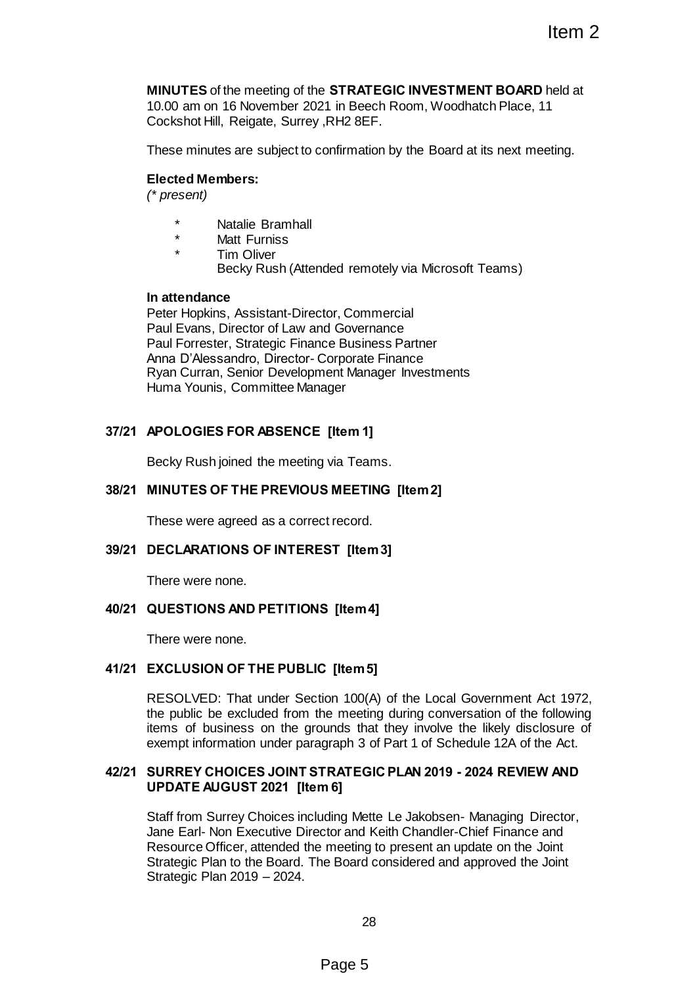**MINUTES** of the meeting of the **STRATEGIC INVESTMENT BOARD** held at 10.00 am on 16 November 2021 in Beech Room, Woodhatch Place, 11 Cockshot Hill, Reigate, Surrey ,RH2 8EF.

These minutes are subject to confirmation by the Board at its next meeting.

## **Elected Members:**

*(\* present)*

- \* Natalie Bramhall
- Matt Furniss
- Tim Oliver Becky Rush (Attended remotely via Microsoft Teams)

## **In attendance**

Peter Hopkins, Assistant-Director, Commercial Paul Evans, Director of Law and Governance Paul Forrester, Strategic Finance Business Partner Anna D'Alessandro, Director- Corporate Finance Ryan Curran, Senior Development Manager Investments Huma Younis, Committee Manager

# **37/21 APOLOGIES FOR ABSENCE [Item 1]**

Becky Rush joined the meeting via Teams.

# **38/21 MINUTES OF THE PREVIOUS MEETING [Item 2]**

These were agreed as a correct record.

## **39/21 DECLARATIONS OF INTEREST [Item 3]**

There were none.

## **40/21 QUESTIONS AND PETITIONS [Item 4]**

There were none.

## **41/21 EXCLUSION OF THE PUBLIC [Item 5]**

RESOLVED: That under Section 100(A) of the Local Government Act 1972, the public be excluded from the meeting during conversation of the following items of business on the grounds that they involve the likely disclosure of exempt information under paragraph 3 of Part 1 of Schedule 12A of the Act.

## **42/21 SURREY CHOICES JOINT STRATEGIC PLAN 2019 - 2024 REVIEW AND UPDATE AUGUST 2021 [Item 6]**

Staff from Surrey Choices including Mette Le Jakobsen- Managing Director, Jane Earl- Non Executive Director and Keith Chandler-Chief Finance and Resource Officer, attended the meeting to present an update on the Joint Strategic Plan to the Board. The Board considered and approved the Joint Strategic Plan 2019 – 2024. Item 2<br>
Item 2<br>
STRATEGIC INVESTMENT BOARD held at<br>
2! in Beech Room, Woodhatch Place, 11<br>
1.RH2 8EF.<br>
confirmation by the Board at its next meeting.<br>
tior, Commercial<br>
dGovernance<br>
ce Business Partner<br>
ent Manager Investm

28